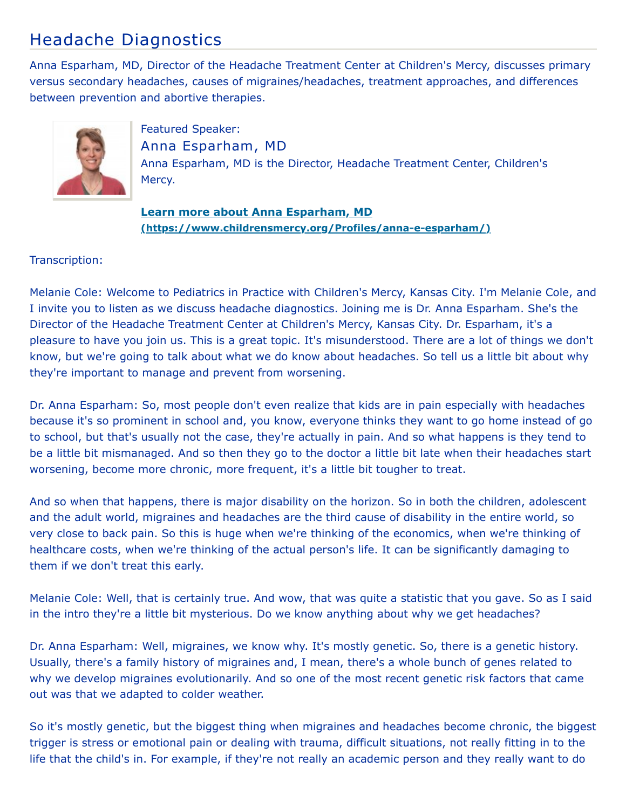## Headache Diagnostics

Anna Esparham, MD, Director of the Headache Treatment Center at Children's Mercy, discusses primary versus secondary headaches, causes of migraines/headaches, treatment approaches, and differences between prevention and abortive therapies.



Featured Speaker: Anna Esparham, MD Anna Esparham, MD is the Director, Headache Treatment Center, Children's Mercy.

**Learn more about Anna Esparham, MD [\(https://www.childrensmercy.org/Profiles/anna-e-esparham/\)](https://www.childrensmercy.org/Profiles/anna-e-esparham/)**

## Transcription:

Melanie Cole: Welcome to Pediatrics in Practice with Children's Mercy, Kansas City. I'm Melanie Cole, and I invite you to listen as we discuss headache diagnostics. Joining me is Dr. Anna Esparham. She's the Director of the Headache Treatment Center at Children's Mercy, Kansas City. Dr. Esparham, it's a pleasure to have you join us. This is a great topic. It's misunderstood. There are a lot of things we don't know, but we're going to talk about what we do know about headaches. So tell us a little bit about why they're important to manage and prevent from worsening.

Dr. Anna Esparham: So, most people don't even realize that kids are in pain especially with headaches because it's so prominent in school and, you know, everyone thinks they want to go home instead of go to school, but that's usually not the case, they're actually in pain. And so what happens is they tend to be a little bit mismanaged. And so then they go to the doctor a little bit late when their headaches start worsening, become more chronic, more frequent, it's a little bit tougher to treat.

And so when that happens, there is major disability on the horizon. So in both the children, adolescent and the adult world, migraines and headaches are the third cause of disability in the entire world, so very close to back pain. So this is huge when we're thinking of the economics, when we're thinking of healthcare costs, when we're thinking of the actual person's life. It can be significantly damaging to them if we don't treat this early.

Melanie Cole: Well, that is certainly true. And wow, that was quite a statistic that you gave. So as I said in the intro they're a little bit mysterious. Do we know anything about why we get headaches?

Dr. Anna Esparham: Well, migraines, we know why. It's mostly genetic. So, there is a genetic history. Usually, there's a family history of migraines and, I mean, there's a whole bunch of genes related to why we develop migraines evolutionarily. And so one of the most recent genetic risk factors that came out was that we adapted to colder weather.

So it's mostly genetic, but the biggest thing when migraines and headaches become chronic, the biggest trigger is stress or emotional pain or dealing with trauma, difficult situations, not really fitting in to the life that the child's in. For example, if they're not really an academic person and they really want to do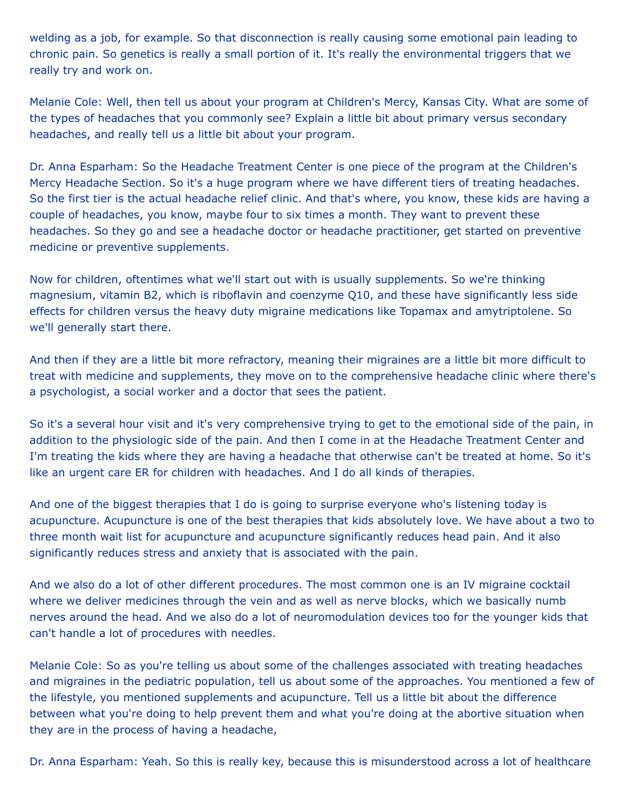welding as a job, for example. So that disconnection is really causing some emotional pain leading to chronic pain. So genetics is really a small portion of it. It's really the environmental triggers that we really try and work on.

Melanie Cole: Well, then tell us about your program at Children's Mercy, Kansas City. What are some of the types of headaches that you commonly see? Explain a little bit about primary versus secondary headaches, and really tell us a little bit about your program.

Dr. Anna Esparham: So the Headache Treatment Center is one piece of the program at the Children's Mercy Headache Section. So it's a huge program where we have different tiers of treating headaches. So the first tier is the actual headache relief clinic. And that's where, you know, these kids are having a couple of headaches, you know, maybe four to six times a month. They want to prevent these headaches. So they go and see a headache doctor or headache practitioner, get started on preventive medicine or preventive supplements.

Now for children, oftentimes what we'll start out with is usually supplements. So we're thinking magnesium, vitamin B2, which is riboflavin and coenzyme Q10, and these have significantly less side effects for children versus the heavy duty migraine medications like Topamax and amytriptolene. So we'll generally start there.

And then if they are a little bit more refractory, meaning their migraines are a little bit more difficult to treat with medicine and supplements, they move on to the comprehensive headache clinic where there's a psychologist, a social worker and a doctor that sees the patient.

So it's a several hour visit and it's very comprehensive trying to get to the emotional side of the pain, in addition to the physiologic side of the pain. And then I come in at the Headache Treatment Center and I'm treating the kids where they are having a headache that otherwise can't be treated at home. So it's like an urgent care ER for children with headaches. And I do all kinds of therapies.

And one of the biggest therapies that I do is going to surprise everyone who's listening today is acupuncture. Acupuncture is one of the best therapies that kids absolutely love. We have about a two to three month wait list for acupuncture and acupuncture significantly reduces head pain. And it also significantly reduces stress and anxiety that is associated with the pain.

And we also do a lot of other different procedures. The most common one is an IV migraine cocktail where we deliver medicines through the vein and as well as nerve blocks, which we basically numb nerves around the head. And we also do a lot of neuromodulation devices too for the younger kids that can't handle a lot of procedures with needles.

Melanie Cole: So as you're telling us about some of the challenges associated with treating headaches and migraines in the pediatric population, tell us about some of the approaches. You mentioned a few of the lifestyle, you mentioned supplements and acupuncture. Tell us a little bit about the difference between what you're doing to help prevent them and what you're doing at the abortive situation when they are in the process of having a headache,

Dr. Anna Esparham: Yeah. So this is really key, because this is misunderstood across a lot of healthcare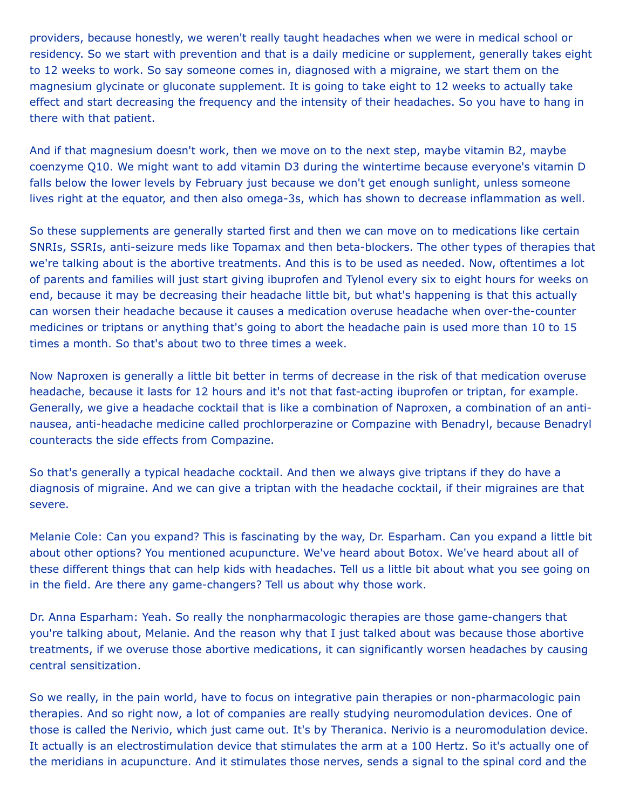providers, because honestly, we weren't really taught headaches when we were in medical school or residency. So we start with prevention and that is a daily medicine or supplement, generally takes eight to 12 weeks to work. So say someone comes in, diagnosed with a migraine, we start them on the magnesium glycinate or gluconate supplement. It is going to take eight to 12 weeks to actually take effect and start decreasing the frequency and the intensity of their headaches. So you have to hang in there with that patient.

And if that magnesium doesn't work, then we move on to the next step, maybe vitamin B2, maybe coenzyme Q10. We might want to add vitamin D3 during the wintertime because everyone's vitamin D falls below the lower levels by February just because we don't get enough sunlight, unless someone lives right at the equator, and then also omega-3s, which has shown to decrease inflammation as well.

So these supplements are generally started first and then we can move on to medications like certain SNRIs, SSRIs, anti-seizure meds like Topamax and then beta-blockers. The other types of therapies that we're talking about is the abortive treatments. And this is to be used as needed. Now, oftentimes a lot of parents and families will just start giving ibuprofen and Tylenol every six to eight hours for weeks on end, because it may be decreasing their headache little bit, but what's happening is that this actually can worsen their headache because it causes a medication overuse headache when over-the-counter medicines or triptans or anything that's going to abort the headache pain is used more than 10 to 15 times a month. So that's about two to three times a week.

Now Naproxen is generally a little bit better in terms of decrease in the risk of that medication overuse headache, because it lasts for 12 hours and it's not that fast-acting ibuprofen or triptan, for example. Generally, we give a headache cocktail that is like a combination of Naproxen, a combination of an antinausea, anti-headache medicine called prochlorperazine or Compazine with Benadryl, because Benadryl counteracts the side effects from Compazine.

So that's generally a typical headache cocktail. And then we always give triptans if they do have a diagnosis of migraine. And we can give a triptan with the headache cocktail, if their migraines are that severe.

Melanie Cole: Can you expand? This is fascinating by the way, Dr. Esparham. Can you expand a little bit about other options? You mentioned acupuncture. We've heard about Botox. We've heard about all of these different things that can help kids with headaches. Tell us a little bit about what you see going on in the field. Are there any game-changers? Tell us about why those work.

Dr. Anna Esparham: Yeah. So really the nonpharmacologic therapies are those game-changers that you're talking about, Melanie. And the reason why that I just talked about was because those abortive treatments, if we overuse those abortive medications, it can significantly worsen headaches by causing central sensitization.

So we really, in the pain world, have to focus on integrative pain therapies or non-pharmacologic pain therapies. And so right now, a lot of companies are really studying neuromodulation devices. One of those is called the Nerivio, which just came out. It's by Theranica. Nerivio is a neuromodulation device. It actually is an electrostimulation device that stimulates the arm at a 100 Hertz. So it's actually one of the meridians in acupuncture. And it stimulates those nerves, sends a signal to the spinal cord and the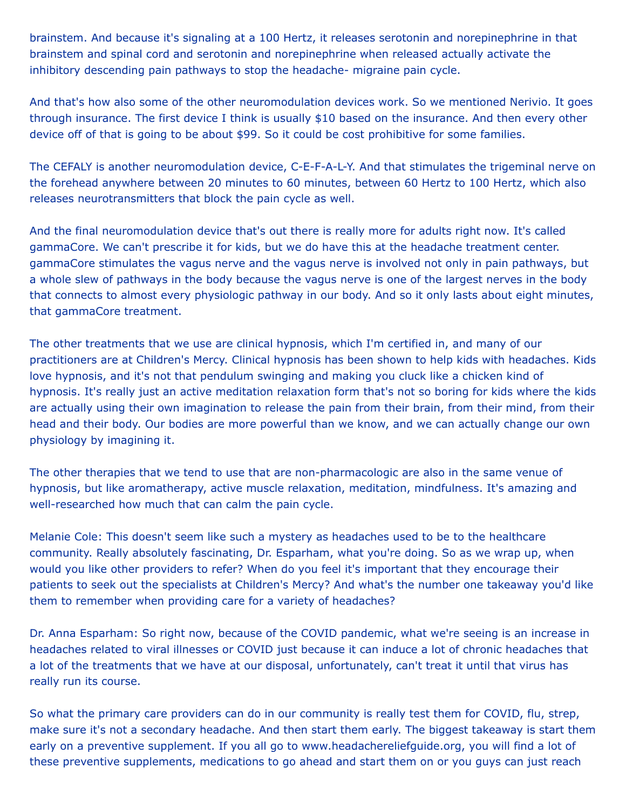brainstem. And because it's signaling at a 100 Hertz, it releases serotonin and norepinephrine in that brainstem and spinal cord and serotonin and norepinephrine when released actually activate the inhibitory descending pain pathways to stop the headache- migraine pain cycle.

And that's how also some of the other neuromodulation devices work. So we mentioned Nerivio. It goes through insurance. The first device I think is usually \$10 based on the insurance. And then every other device off of that is going to be about \$99. So it could be cost prohibitive for some families.

The CEFALY is another neuromodulation device, C-E-F-A-L-Y. And that stimulates the trigeminal nerve on the forehead anywhere between 20 minutes to 60 minutes, between 60 Hertz to 100 Hertz, which also releases neurotransmitters that block the pain cycle as well.

And the final neuromodulation device that's out there is really more for adults right now. It's called gammaCore. We can't prescribe it for kids, but we do have this at the headache treatment center. gammaCore stimulates the vagus nerve and the vagus nerve is involved not only in pain pathways, but a whole slew of pathways in the body because the vagus nerve is one of the largest nerves in the body that connects to almost every physiologic pathway in our body. And so it only lasts about eight minutes, that gammaCore treatment.

The other treatments that we use are clinical hypnosis, which I'm certified in, and many of our practitioners are at Children's Mercy. Clinical hypnosis has been shown to help kids with headaches. Kids love hypnosis, and it's not that pendulum swinging and making you cluck like a chicken kind of hypnosis. It's really just an active meditation relaxation form that's not so boring for kids where the kids are actually using their own imagination to release the pain from their brain, from their mind, from their head and their body. Our bodies are more powerful than we know, and we can actually change our own physiology by imagining it.

The other therapies that we tend to use that are non-pharmacologic are also in the same venue of hypnosis, but like aromatherapy, active muscle relaxation, meditation, mindfulness. It's amazing and well-researched how much that can calm the pain cycle.

Melanie Cole: This doesn't seem like such a mystery as headaches used to be to the healthcare community. Really absolutely fascinating, Dr. Esparham, what you're doing. So as we wrap up, when would you like other providers to refer? When do you feel it's important that they encourage their patients to seek out the specialists at Children's Mercy? And what's the number one takeaway you'd like them to remember when providing care for a variety of headaches?

Dr. Anna Esparham: So right now, because of the COVID pandemic, what we're seeing is an increase in headaches related to viral illnesses or COVID just because it can induce a lot of chronic headaches that a lot of the treatments that we have at our disposal, unfortunately, can't treat it until that virus has really run its course.

So what the primary care providers can do in our community is really test them for COVID, flu, strep, make sure it's not a secondary headache. And then start them early. The biggest takeaway is start them early on a preventive supplement. If you all go to www.headachereliefguide.org, you will find a lot of these preventive supplements, medications to go ahead and start them on or you guys can just reach